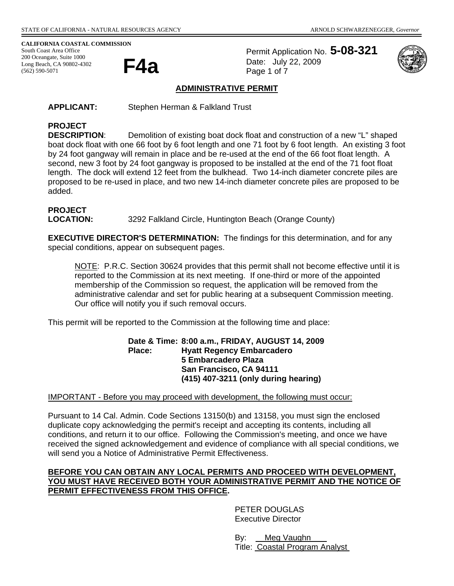**CALIFORNIA COASTAL COMMISSION** 

South Coast Area Office 200 Oceangate, Suite 1000<br>Long Beach, CA 90802-4302<br>(563) 500 5071 Long Beach, CA 90802-4302 (562) 590-5071

Permit Application No. **5-08-321** Date: July 22, 2009 Page 1 of 7



## **ADMINISTRATIVE PERMIT**

**APPLICANT:** Stephen Herman & Falkland Trust

# **PROJECT**

**DESCRIPTION**: Demolition of existing boat dock float and construction of a new "L" shaped boat dock float with one 66 foot by 6 foot length and one 71 foot by 6 foot length. An existing 3 foot by 24 foot gangway will remain in place and be re-used at the end of the 66 foot float length. A second, new 3 foot by 24 foot gangway is proposed to be installed at the end of the 71 foot float length. The dock will extend 12 feet from the bulkhead. Two 14-inch diameter concrete piles are proposed to be re-used in place, and two new 14-inch diameter concrete piles are proposed to be added.

# **PROJECT**

**LOCATION:** 3292 Falkland Circle, Huntington Beach (Orange County)

**EXECUTIVE DIRECTOR'S DETERMINATION:** The findings for this determination, and for any special conditions, appear on subsequent pages.

NOTE: P.R.C. Section 30624 provides that this permit shall not become effective until it is reported to the Commission at its next meeting. If one-third or more of the appointed membership of the Commission so request, the application will be removed from the administrative calendar and set for public hearing at a subsequent Commission meeting. Our office will notify you if such removal occurs.

This permit will be reported to the Commission at the following time and place:

**Date & Time: 8:00 a.m., FRIDAY, AUGUST 14, 2009 Place: Hyatt Regency Embarcadero 5 Embarcadero Plaza San Francisco, CA 94111 (415) 407-3211 (only during hearing)** 

#### IMPORTANT - Before you may proceed with development, the following must occur:

Pursuant to 14 Cal. Admin. Code Sections 13150(b) and 13158, you must sign the enclosed duplicate copy acknowledging the permit's receipt and accepting its contents, including all conditions, and return it to our office. Following the Commission's meeting, and once we have received the signed acknowledgement and evidence of compliance with all special conditions, we will send you a Notice of Administrative Permit Effectiveness.

#### **BEFORE YOU CAN OBTAIN ANY LOCAL PERMITS AND PROCEED WITH DEVELOPMENT, YOU MUST HAVE RECEIVED BOTH YOUR ADMINISTRATIVE PERMIT AND THE NOTICE OF PERMIT EFFECTIVENESS FROM THIS OFFICE.**

 PETER DOUGLAS Executive Director

By: Meg Vaughn Title: Coastal Program Analyst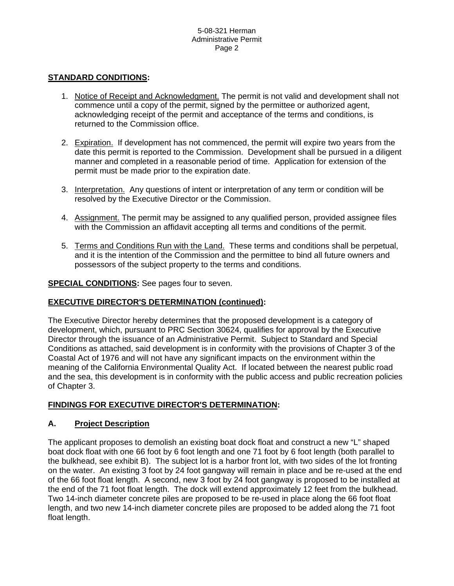## **STANDARD CONDITIONS:**

- 1. Notice of Receipt and Acknowledgment. The permit is not valid and development shall not commence until a copy of the permit, signed by the permittee or authorized agent, acknowledging receipt of the permit and acceptance of the terms and conditions, is returned to the Commission office.
- 2. Expiration. If development has not commenced, the permit will expire two years from the date this permit is reported to the Commission. Development shall be pursued in a diligent manner and completed in a reasonable period of time. Application for extension of the permit must be made prior to the expiration date.
- 3. Interpretation. Any questions of intent or interpretation of any term or condition will be resolved by the Executive Director or the Commission.
- 4. Assignment. The permit may be assigned to any qualified person, provided assignee files with the Commission an affidavit accepting all terms and conditions of the permit.
- 5. Terms and Conditions Run with the Land. These terms and conditions shall be perpetual, and it is the intention of the Commission and the permittee to bind all future owners and possessors of the subject property to the terms and conditions.

**SPECIAL CONDITIONS:** See pages four to seven.

# **EXECUTIVE DIRECTOR'S DETERMINATION (continued):**

The Executive Director hereby determines that the proposed development is a category of development, which, pursuant to PRC Section 30624, qualifies for approval by the Executive Director through the issuance of an Administrative Permit. Subject to Standard and Special Conditions as attached, said development is in conformity with the provisions of Chapter 3 of the Coastal Act of 1976 and will not have any significant impacts on the environment within the meaning of the California Environmental Quality Act. If located between the nearest public road and the sea, this development is in conformity with the public access and public recreation policies of Chapter 3.

# **FINDINGS FOR EXECUTIVE DIRECTOR'S DETERMINATION:**

## **A. Project Description**

The applicant proposes to demolish an existing boat dock float and construct a new "L" shaped boat dock float with one 66 foot by 6 foot length and one 71 foot by 6 foot length (both parallel to the bulkhead, see exhibit B). The subject lot is a harbor front lot, with two sides of the lot fronting on the water. An existing 3 foot by 24 foot gangway will remain in place and be re-used at the end of the 66 foot float length. A second, new 3 foot by 24 foot gangway is proposed to be installed at the end of the 71 foot float length. The dock will extend approximately 12 feet from the bulkhead. Two 14-inch diameter concrete piles are proposed to be re-used in place along the 66 foot float length, and two new 14-inch diameter concrete piles are proposed to be added along the 71 foot float length.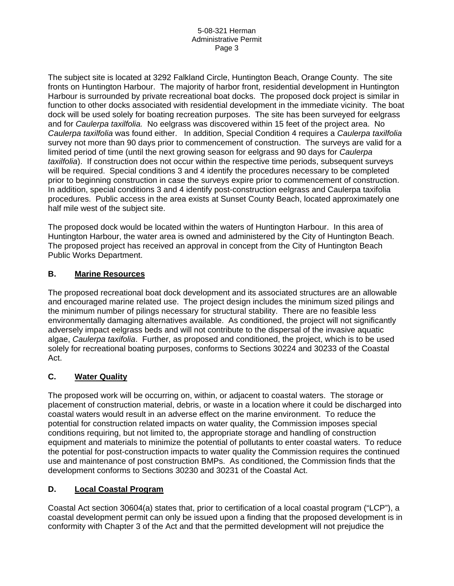#### 5-08-321 Herman Administrative Permit Page 3

The subject site is located at 3292 Falkland Circle, Huntington Beach, Orange County. The site fronts on Huntington Harbour. The majority of harbor front, residential development in Huntington Harbour is surrounded by private recreational boat docks. The proposed dock project is similar in function to other docks associated with residential development in the immediate vicinity. The boat dock will be used solely for boating recreation purposes. The site has been surveyed for eelgrass and for *Caulerpa taxilfolia.* No eelgrass was discovered within 15 feet of the project area. No *Caulerpa taxilfolia* was found either. In addition, Special Condition 4 requires a *Caulerpa taxilfolia* survey not more than 90 days prior to commencement of construction. The surveys are valid for a limited period of time (until the next growing season for eelgrass and 90 days for *Caulerpa taxilfolia*). If construction does not occur within the respective time periods, subsequent surveys will be required. Special conditions 3 and 4 identify the procedures necessary to be completed prior to beginning construction in case the surveys expire prior to commencement of construction. In addition, special conditions 3 and 4 identify post-construction eelgrass and Caulerpa taxifolia procedures. Public access in the area exists at Sunset County Beach, located approximately one half mile west of the subject site.

The proposed dock would be located within the waters of Huntington Harbour. In this area of Huntington Harbour, the water area is owned and administered by the City of Huntington Beach. The proposed project has received an approval in concept from the City of Huntington Beach Public Works Department.

# **B. Marine Resources**

The proposed recreational boat dock development and its associated structures are an allowable and encouraged marine related use. The project design includes the minimum sized pilings and the minimum number of pilings necessary for structural stability. There are no feasible less environmentally damaging alternatives available. As conditioned, the project will not significantly adversely impact eelgrass beds and will not contribute to the dispersal of the invasive aquatic algae, *Caulerpa taxifolia*. Further, as proposed and conditioned, the project, which is to be used solely for recreational boating purposes, conforms to Sections 30224 and 30233 of the Coastal Act.

# **C. Water Quality**

The proposed work will be occurring on, within, or adjacent to coastal waters. The storage or placement of construction material, debris, or waste in a location where it could be discharged into coastal waters would result in an adverse effect on the marine environment. To reduce the potential for construction related impacts on water quality, the Commission imposes special conditions requiring, but not limited to, the appropriate storage and handling of construction equipment and materials to minimize the potential of pollutants to enter coastal waters. To reduce the potential for post-construction impacts to water quality the Commission requires the continued use and maintenance of post construction BMPs. As conditioned, the Commission finds that the development conforms to Sections 30230 and 30231 of the Coastal Act.

## **D. Local Coastal Program**

Coastal Act section 30604(a) states that, prior to certification of a local coastal program ("LCP"), a coastal development permit can only be issued upon a finding that the proposed development is in conformity with Chapter 3 of the Act and that the permitted development will not prejudice the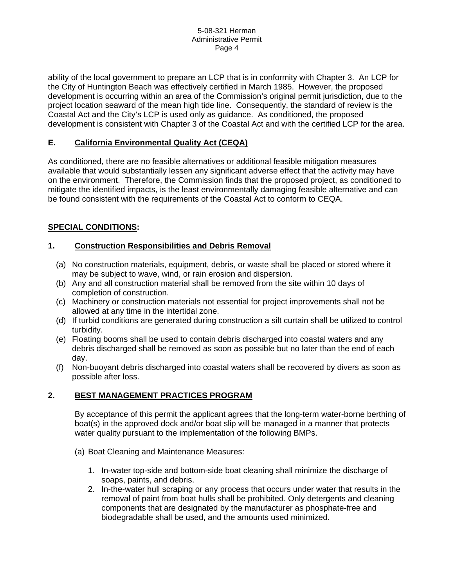ability of the local government to prepare an LCP that is in conformity with Chapter 3. An LCP for the City of Huntington Beach was effectively certified in March 1985. However, the proposed development is occurring within an area of the Commission's original permit jurisdiction, due to the project location seaward of the mean high tide line. Consequently, the standard of review is the Coastal Act and the City's LCP is used only as guidance. As conditioned, the proposed development is consistent with Chapter 3 of the Coastal Act and with the certified LCP for the area.

# **E. California Environmental Quality Act (CEQA)**

As conditioned, there are no feasible alternatives or additional feasible mitigation measures available that would substantially lessen any significant adverse effect that the activity may have on the environment. Therefore, the Commission finds that the proposed project, as conditioned to mitigate the identified impacts, is the least environmentally damaging feasible alternative and can be found consistent with the requirements of the Coastal Act to conform to CEQA.

# **SPECIAL CONDITIONS:**

# **1. Construction Responsibilities and Debris Removal**

- (a) No construction materials, equipment, debris, or waste shall be placed or stored where it may be subject to wave, wind, or rain erosion and dispersion.
- (b) Any and all construction material shall be removed from the site within 10 days of completion of construction.
- (c) Machinery or construction materials not essential for project improvements shall not be allowed at any time in the intertidal zone.
- (d) If turbid conditions are generated during construction a silt curtain shall be utilized to control turbidity.
- (e) Floating booms shall be used to contain debris discharged into coastal waters and any debris discharged shall be removed as soon as possible but no later than the end of each day.
- (f) Non-buoyant debris discharged into coastal waters shall be recovered by divers as soon as possible after loss.

## **2. BEST MANAGEMENT PRACTICES PROGRAM**

By acceptance of this permit the applicant agrees that the long-term water-borne berthing of boat(s) in the approved dock and/or boat slip will be managed in a manner that protects water quality pursuant to the implementation of the following BMPs.

- (a) Boat Cleaning and Maintenance Measures:
	- 1. In-water top-side and bottom-side boat cleaning shall minimize the discharge of soaps, paints, and debris.
	- 2. In-the-water hull scraping or any process that occurs under water that results in the removal of paint from boat hulls shall be prohibited. Only detergents and cleaning components that are designated by the manufacturer as phosphate-free and biodegradable shall be used, and the amounts used minimized.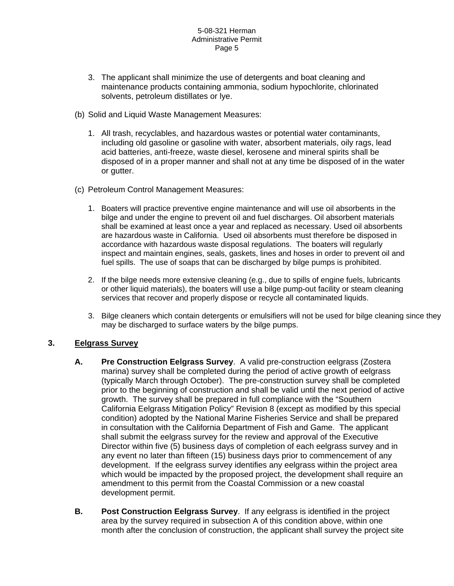#### 5-08-321 Herman Administrative Permit Page 5

- 3. The applicant shall minimize the use of detergents and boat cleaning and maintenance products containing ammonia, sodium hypochlorite, chlorinated solvents, petroleum distillates or lye.
- (b) Solid and Liquid Waste Management Measures:
	- 1. All trash, recyclables, and hazardous wastes or potential water contaminants, including old gasoline or gasoline with water, absorbent materials, oily rags, lead acid batteries, anti-freeze, waste diesel, kerosene and mineral spirits shall be disposed of in a proper manner and shall not at any time be disposed of in the water or gutter.
- (c) Petroleum Control Management Measures:
	- 1. Boaters will practice preventive engine maintenance and will use oil absorbents in the bilge and under the engine to prevent oil and fuel discharges. Oil absorbent materials shall be examined at least once a year and replaced as necessary. Used oil absorbents are hazardous waste in California. Used oil absorbents must therefore be disposed in accordance with hazardous waste disposal regulations. The boaters will regularly inspect and maintain engines, seals, gaskets, lines and hoses in order to prevent oil and fuel spills. The use of soaps that can be discharged by bilge pumps is prohibited.
	- 2. If the bilge needs more extensive cleaning (e.g., due to spills of engine fuels, lubricants or other liquid materials), the boaters will use a bilge pump-out facility or steam cleaning services that recover and properly dispose or recycle all contaminated liquids.
	- 3. Bilge cleaners which contain detergents or emulsifiers will not be used for bilge cleaning since they may be discharged to surface waters by the bilge pumps.

# **3. Eelgrass Survey**

- **A. Pre Construction Eelgrass Survey**. A valid pre-construction eelgrass (Zostera marina) survey shall be completed during the period of active growth of eelgrass (typically March through October). The pre-construction survey shall be completed prior to the beginning of construction and shall be valid until the next period of active growth. The survey shall be prepared in full compliance with the "Southern California Eelgrass Mitigation Policy" Revision 8 (except as modified by this special condition) adopted by the National Marine Fisheries Service and shall be prepared in consultation with the California Department of Fish and Game. The applicant shall submit the eelgrass survey for the review and approval of the Executive Director within five (5) business days of completion of each eelgrass survey and in any event no later than fifteen (15) business days prior to commencement of any development. If the eelgrass survey identifies any eelgrass within the project area which would be impacted by the proposed project, the development shall require an amendment to this permit from the Coastal Commission or a new coastal development permit.
- **B. Post Construction Eelgrass Survey**. If any eelgrass is identified in the project area by the survey required in subsection A of this condition above, within one month after the conclusion of construction, the applicant shall survey the project site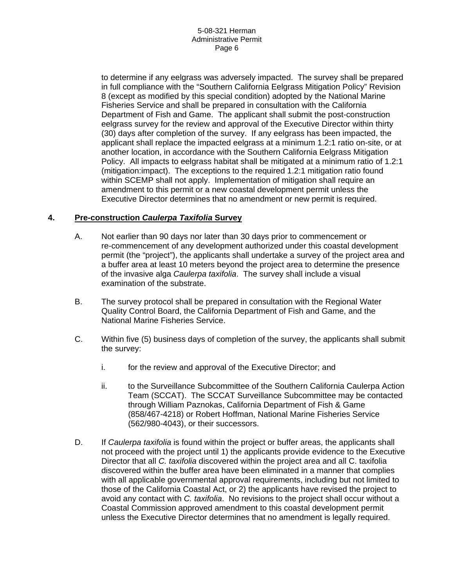#### 5-08-321 Herman Administrative Permit Page 6

to determine if any eelgrass was adversely impacted. The survey shall be prepared in full compliance with the "Southern California Eelgrass Mitigation Policy" Revision 8 (except as modified by this special condition) adopted by the National Marine Fisheries Service and shall be prepared in consultation with the California Department of Fish and Game. The applicant shall submit the post-construction eelgrass survey for the review and approval of the Executive Director within thirty (30) days after completion of the survey. If any eelgrass has been impacted, the applicant shall replace the impacted eelgrass at a minimum 1.2:1 ratio on-site, or at another location, in accordance with the Southern California Eelgrass Mitigation Policy. All impacts to eelgrass habitat shall be mitigated at a minimum ratio of 1.2:1 (mitigation:impact). The exceptions to the required 1.2:1 mitigation ratio found within SCEMP shall not apply. Implementation of mitigation shall require an amendment to this permit or a new coastal development permit unless the Executive Director determines that no amendment or new permit is required.

## **4. Pre-construction** *Caulerpa Taxifolia* **Survey**

- A. Not earlier than 90 days nor later than 30 days prior to commencement or re-commencement of any development authorized under this coastal development permit (the "project"), the applicants shall undertake a survey of the project area and a buffer area at least 10 meters beyond the project area to determine the presence of the invasive alga *Caulerpa taxifolia*. The survey shall include a visual examination of the substrate.
- B. The survey protocol shall be prepared in consultation with the Regional Water Quality Control Board, the California Department of Fish and Game, and the National Marine Fisheries Service.
- C. Within five (5) business days of completion of the survey, the applicants shall submit the survey:
	- i. for the review and approval of the Executive Director; and
	- ii. to the Surveillance Subcommittee of the Southern California Caulerpa Action Team (SCCAT). The SCCAT Surveillance Subcommittee may be contacted through William Paznokas, California Department of Fish & Game (858/467-4218) or Robert Hoffman, National Marine Fisheries Service (562/980-4043), or their successors.
- D. If *Caulerpa taxifolia* is found within the project or buffer areas, the applicants shall not proceed with the project until 1) the applicants provide evidence to the Executive Director that all *C. taxifolia* discovered within the project area and all C. taxifolia discovered within the buffer area have been eliminated in a manner that complies with all applicable governmental approval requirements, including but not limited to those of the California Coastal Act, or 2) the applicants have revised the project to avoid any contact with *C. taxifolia*. No revisions to the project shall occur without a Coastal Commission approved amendment to this coastal development permit unless the Executive Director determines that no amendment is legally required.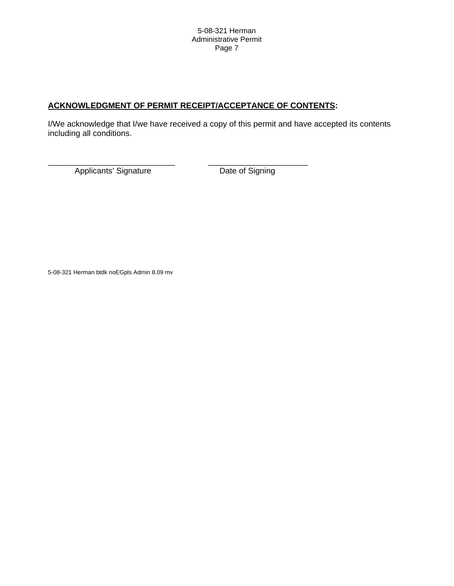# **ACKNOWLEDGMENT OF PERMIT RECEIPT/ACCEPTANCE OF CONTENTS:**

\_\_\_\_\_\_\_\_\_\_\_\_\_\_\_\_\_\_\_\_\_\_\_\_\_\_\_\_ \_\_\_\_\_\_\_\_\_\_\_\_\_\_\_\_\_\_\_\_\_\_

I/We acknowledge that I/we have received a copy of this permit and have accepted its contents including all conditions.

Applicants' Signature **Date of Signing** 

5-08-321 Herman btdk noEGpls Admin 8.09 mv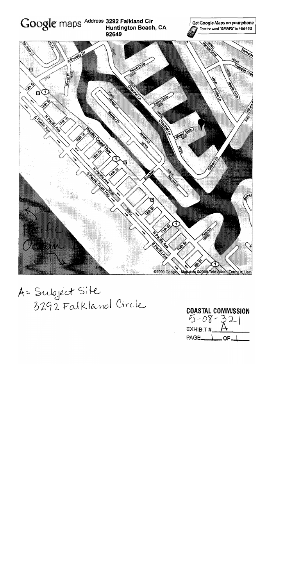

A= Subject Site<br>3292 Falkland Circle

**COASTAL COMMISSION**  $5 - 08 - 321$ <br>EXHIBIT #  $A$  $PAGE$ <sub>OF</sub>